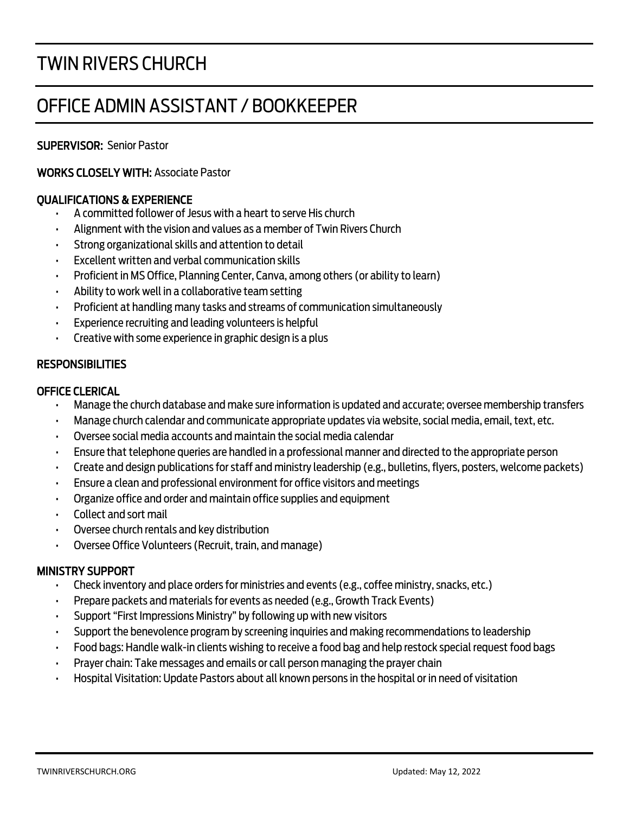# TWIN RIVERS CHURCH

# OFFICE ADMIN ASSISTANT / BOOKKEEPER

# SUPERVISOR: Senior Pastor

# WORKS CLOSELY WITH: Associate Pastor

# QUALIFICATIONS & EXPERIENCE

- A committed follower of Jesus with a heart to serve His church
- Alignment with the vision and values as a member of Twin Rivers Church
- Strong organizational skills and attention to detail
- Excellent written and verbal communication skills
- Proficient in MS Office, Planning Center, Canva, among others (or ability to learn)
- Ability to work well in a collaborative team setting
- Proficient at handling many tasks and streams of communication simultaneously
- Experience recruiting and leading volunteers is helpful
- Creative with some experience in graphic design is a plus

## RESPONSIBILITIES

### OFFICE CLERICAL

- Manage the church database and make sure information is updated and accurate; oversee membership transfers
- Manage church calendar and communicate appropriate updates via website, social media, email, text, etc.
- Oversee social media accounts and maintain the social media calendar
- Ensure that telephone queries are handled in a professional manner and directed to the appropriate person
- Create and design publications for staff and ministry leadership (e.g., bulletins, flyers, posters, welcome packets)
- Ensure a clean and professional environment for office visitors and meetings
- Organize office and order and maintain office supplies and equipment
- Collect and sort mail
- Oversee church rentals and key distribution
- Oversee Office Volunteers (Recruit, train, and manage)

# MINISTRY SUPPORT

- Check inventory and place orders for ministries and events (e.g., coffee ministry, snacks, etc.)
- Prepare packets and materials for events as needed (e.g., Growth Track Events)
- Support "First Impressions Ministry" by following up with new visitors
- Support the benevolence program by screening inquiries and making recommendations to leadership
- Food bags: Handle walk-in clients wishing to receive a food bag and help restock special request food bags
- Prayer chain: Take messages and emails or call person managing the prayer chain
- Hospital Visitation: Update Pastors about all known persons in the hospital or in need of visitation